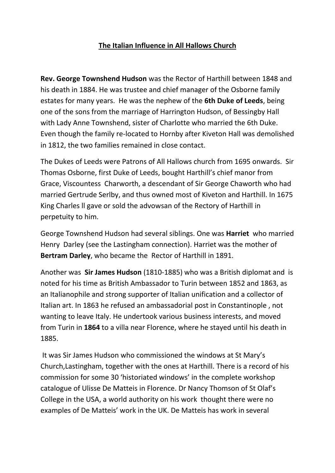# **The Italian Influence in All Hallows Church**

**Rev. George Townshend Hudson** was the Rector of Harthill between 1848 and his death in 1884. He was trustee and chief manager of the Osborne family estates for many years. He was the nephew of the **6th Duke of Leeds**, being one of the sons from the marriage of Harrington Hudson, of Bessingby Hall with Lady Anne Townshend, sister of Charlotte who married the 6th Duke. Even though the family re-located to Hornby after Kiveton Hall was demolished in 1812, the two families remained in close contact.

The Dukes of Leeds were Patrons of All Hallows church from 1695 onwards. Sir Thomas Osborne, first Duke of Leeds, bought Harthill's chief manor from Grace, Viscountess Charworth, a descendant of Sir George Chaworth who had married Gertrude Serlby, and thus owned most of Kiveton and Harthill. In 1675 King Charles ll gave or sold the advowsan of the Rectory of Harthill in perpetuity to him.

George Townshend Hudson had several siblings. One was **Harriet** who married Henry Darley (see the Lastingham connection). Harriet was the mother of **Bertram Darley**, who became the Rector of Harthill in 1891.

Another was **Sir James Hudson** (1810-1885) who was a British diplomat and is noted for his time as British Ambassador to Turin between 1852 and 1863, as an Italianophile and strong supporter of Italian unification and a collector of Italian art. In 1863 he refused an ambassadorial post in Constantinople , not wanting to leave Italy. He undertook various business interests, and moved from Turin in **1864** to a villa near Florence, where he stayed until his death in 1885.

It was Sir James Hudson who commissioned the windows at St Mary's Church,Lastingham, together with the ones at Harthill. There is a record of his commission for some 30 'historiated windows' in the complete workshop catalogue of Ulisse De Matteis in Florence. Dr Nancy Thomson of St Olaf's College in the USA, a world authority on his work thought there were no examples of De Matteis' work in the UK. De Matteis has work in several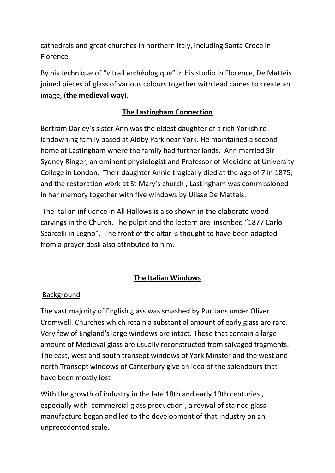cathedrals and great churches in northern Italy, including Santa Croce in Florence.

By his technique of "vitrail archéologique" in his studio in Florence, De Matteis joined pieces of glass of various colours together with lead cames to create an image, (**the medieval way**).

# **The Lastingham Connection**

Bertram Darley's sister Ann was the eldest daughter of a rich Yorkshire landowning family based at Aldby Park near York. He maintained a second home at Lastingham where the family had further lands. Ann married Sir Sydney Ringer, an eminent physiologist and Professor of Medicine at University College in London. Their daughter Annie tragically died at the age of 7 in 1875, and the restoration work at St Mary's church , Lastingham was commissioned in her memory together with five windows by Ulisse De Matteis.

The Italian influence in All Hallows is also shown in the elaborate wood carvings in the Church. The pulpit and the lectern are inscribed "1877 Carlo Scarcelli in Legno". The front of the altar is thought to have been adapted from a prayer desk also attributed to him.

# **The Italian Windows**

# Background

The vast majority of English glass was smashed by Puritans under Oliver Cromwell. Churches which retain a substantial amount of early glass are rare. Very few of England's large windows are intact. Those that contain a large amount of Medieval glass are usually reconstructed from salvaged fragments. The east, west and south transept windows of York Minster and the west and north Transept windows of Canterbury give an idea of the splendours that have been mostly lost

With the growth of industry in the late 18th and early 19th centuries , especially with commercial glass production , a revival of stained glass manufacture began and led to the development of that industry on an unprecedented scale.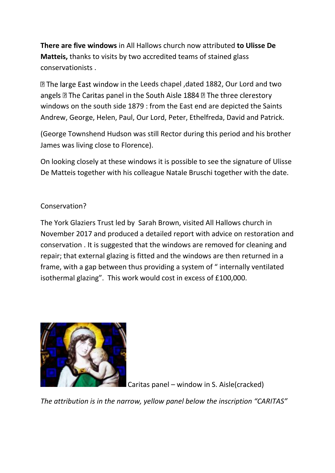**There are five windows** in All Hallows church now attributed **to Ulisse De Matteis,** thanks to visits by two accredited teams of stained glass conservationists .

**D** The large East window in the Leeds chapel, dated 1882, Our Lord and two angels **D** The Caritas panel in the South Aisle 1884 **D** The three clerestory windows on the south side 1879 : from the East end are depicted the Saints Andrew, George, Helen, Paul, Our Lord, Peter, Ethelfreda, David and Patrick.

(George Townshend Hudson was still Rector during this period and his brother James was living close to Florence).

On looking closely at these windows it is possible to see the signature of Ulisse De Matteis together with his colleague Natale Bruschi together with the date.

# Conservation?

The York Glaziers Trust led by Sarah Brown, visited All Hallows church in November 2017 and produced a detailed report with advice on restoration and conservation . It is suggested that the windows are removed for cleaning and repair; that external glazing is fitted and the windows are then returned in a frame, with a gap between thus providing a system of " internally ventilated isothermal glazing". This work would cost in excess of £100,000.



Caritas panel – window in S. Aisle(cracked)

*The attribution is in the narrow, yellow panel below the inscription "CARITAS"*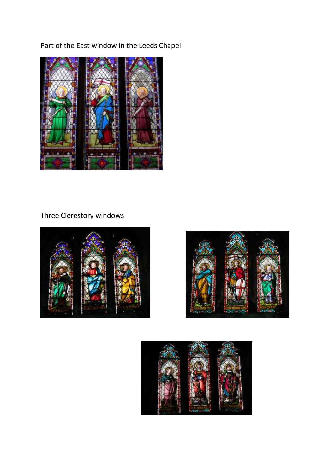Part of the East window in the Leeds Chapel



# Three Clerestory windows





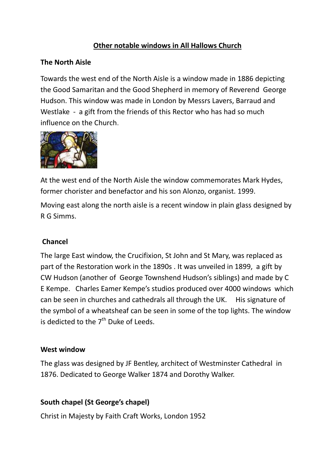# **Other notable windows in All Hallows Church**

#### **The North Aisle**

Towards the west end of the North Aisle is a window made in 1886 depicting the Good Samaritan and the Good Shepherd in memory of Reverend George Hudson. This window was made in London by Messrs Lavers, Barraud and Westlake - a gift from the friends of this Rector who has had so much influence on the Church.



At the west end of the North Aisle the window commemorates Mark Hydes, former chorister and benefactor and his son Alonzo, organist. 1999.

Moving east along the north aisle is a recent window in plain glass designed by R G Simms.

#### **Chancel**

The large East window, the Crucifixion, St John and St Mary, was replaced as part of the Restoration work in the 1890s . It was unveiled in 1899, a gift by CW Hudson (another of George Townshend Hudson's siblings) and made by C E Kempe. Charles Eamer Kempe's studios produced over 4000 windowswhich can be seen in churches and cathedrals all through the UK.His signature of the symbol of a wheatsheaf can be seen in some of the top lights. The window is dedicted to the  $7<sup>th</sup>$  Duke of Leeds.

#### **West window**

The glass was designed by JF Bentley, architect of Westminster Cathedral in 1876. Dedicated to George Walker 1874 and Dorothy Walker.

#### **South chapel (St George's chapel)**

Christ in Majesty by Faith Craft Works, London 1952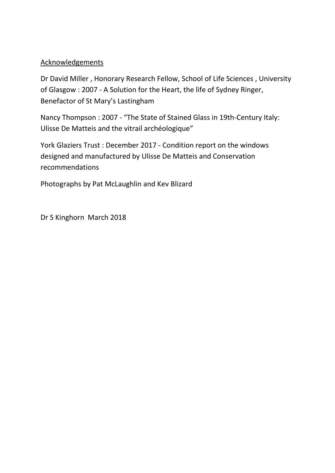#### **Acknowledgements**

Dr David Miller , Honorary Research Fellow, School of Life Sciences , University of Glasgow : 2007 - A Solution for the Heart, the life of Sydney Ringer, Benefactor of St Mary's Lastingham

Nancy Thompson : 2007 - "The State of Stained Glass in 19th-Century Italy: Ulisse De Matteis and the vitrail archéologique"

York Glaziers Trust : December 2017 - Condition report on the windows designed and manufactured by Ulisse De Matteis and Conservation recommendations

Photographs by Pat McLaughlin and Kev Blizard

Dr S Kinghorn March 2018